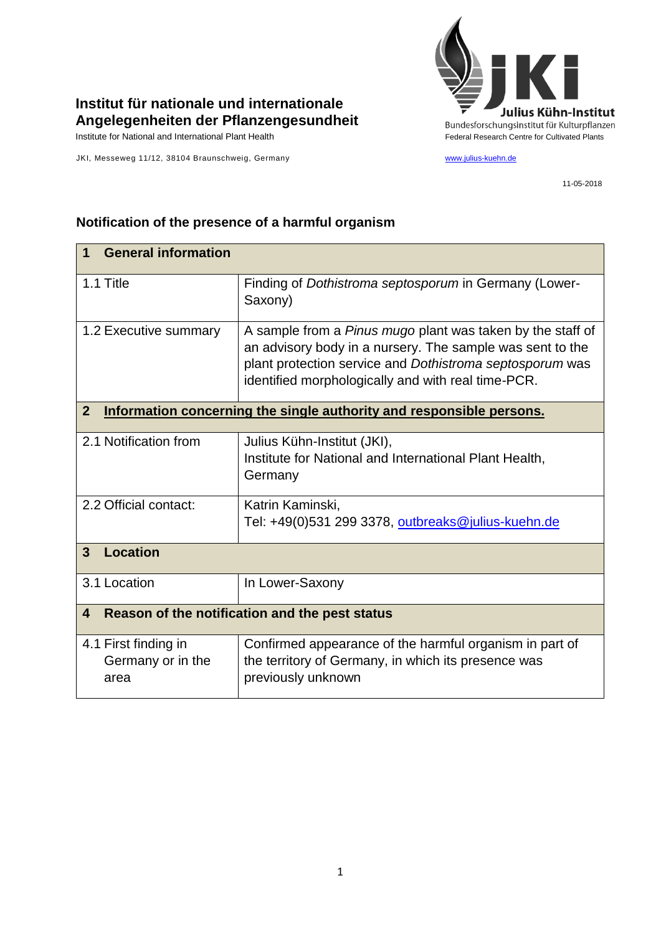

## **Institut für nationale und internationale Angelegenheiten der Pflanzengesundheit**

JKI, Messeweg 11/12, 38104 Braunschweig, Germany [www.julius-kuehn.de](http://www.julius-kuehn.de/)

11-05-2018

| <b>General information</b><br>1                                                        |                                                                                                                                                                                                                                           |  |
|----------------------------------------------------------------------------------------|-------------------------------------------------------------------------------------------------------------------------------------------------------------------------------------------------------------------------------------------|--|
| 1.1 Title                                                                              | Finding of Dothistroma septosporum in Germany (Lower-<br>Saxony)                                                                                                                                                                          |  |
| 1.2 Executive summary                                                                  | A sample from a Pinus mugo plant was taken by the staff of<br>an advisory body in a nursery. The sample was sent to the<br>plant protection service and Dothistroma septosporum was<br>identified morphologically and with real time-PCR. |  |
| $\overline{2}$<br>Information concerning the single authority and responsible persons. |                                                                                                                                                                                                                                           |  |
| 2.1 Notification from                                                                  | Julius Kühn-Institut (JKI),<br>Institute for National and International Plant Health,<br>Germany                                                                                                                                          |  |
| 2.2 Official contact:                                                                  | Katrin Kaminski,<br>Tel: +49(0)531 299 3378, outbreaks@julius-kuehn.de                                                                                                                                                                    |  |
| <b>Location</b><br>$\mathbf{3}$                                                        |                                                                                                                                                                                                                                           |  |
| 3.1 Location                                                                           | In Lower-Saxony                                                                                                                                                                                                                           |  |
| Reason of the notification and the pest status<br>4                                    |                                                                                                                                                                                                                                           |  |
| 4.1 First finding in<br>Germany or in the<br>area                                      | Confirmed appearance of the harmful organism in part of<br>the territory of Germany, in which its presence was<br>previously unknown                                                                                                      |  |

## **Notification of the presence of a harmful organism**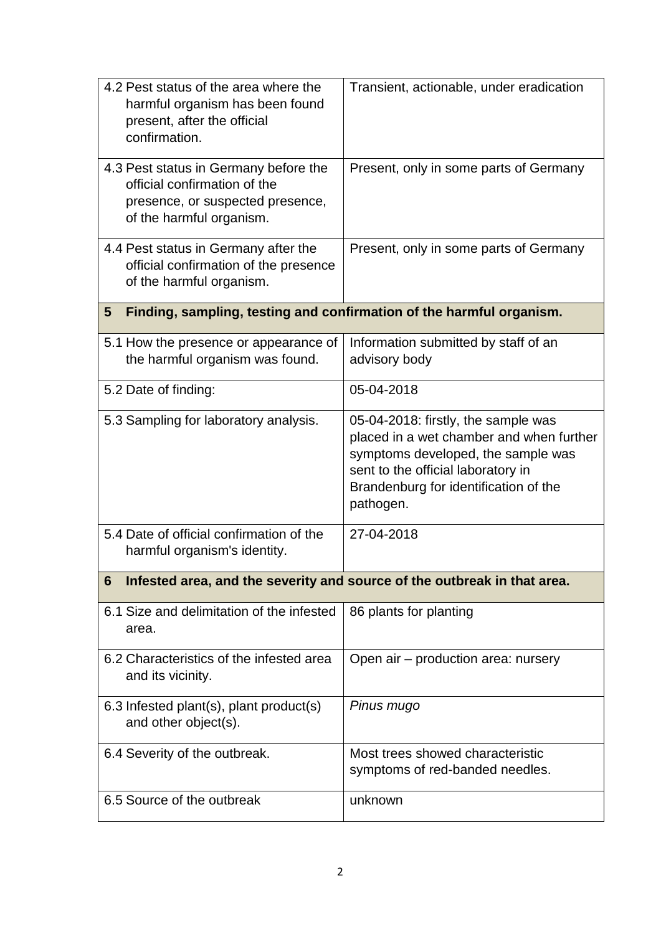| 4.2 Pest status of the area where the<br>harmful organism has been found<br>present, after the official<br>confirmation.              | Transient, actionable, under eradication                                                                                                                                                                          |  |
|---------------------------------------------------------------------------------------------------------------------------------------|-------------------------------------------------------------------------------------------------------------------------------------------------------------------------------------------------------------------|--|
| 4.3 Pest status in Germany before the<br>official confirmation of the<br>presence, or suspected presence,<br>of the harmful organism. | Present, only in some parts of Germany                                                                                                                                                                            |  |
| 4.4 Pest status in Germany after the<br>official confirmation of the presence<br>of the harmful organism.                             | Present, only in some parts of Germany                                                                                                                                                                            |  |
| Finding, sampling, testing and confirmation of the harmful organism.<br>5                                                             |                                                                                                                                                                                                                   |  |
| 5.1 How the presence or appearance of<br>the harmful organism was found.                                                              | Information submitted by staff of an<br>advisory body                                                                                                                                                             |  |
| 5.2 Date of finding:                                                                                                                  | 05-04-2018                                                                                                                                                                                                        |  |
| 5.3 Sampling for laboratory analysis.                                                                                                 | 05-04-2018: firstly, the sample was<br>placed in a wet chamber and when further<br>symptoms developed, the sample was<br>sent to the official laboratory in<br>Brandenburg for identification of the<br>pathogen. |  |
| 5.4 Date of official confirmation of the<br>harmful organism's identity.                                                              | 27-04-2018                                                                                                                                                                                                        |  |
| Infested area, and the severity and source of the outbreak in that area.<br>6                                                         |                                                                                                                                                                                                                   |  |
| 6.1 Size and delimitation of the infested<br>area.                                                                                    | 86 plants for planting                                                                                                                                                                                            |  |
| 6.2 Characteristics of the infested area<br>and its vicinity.                                                                         | Open air – production area: nursery                                                                                                                                                                               |  |
| 6.3 Infested plant(s), plant product(s)<br>and other object(s).                                                                       | Pinus mugo                                                                                                                                                                                                        |  |
| 6.4 Severity of the outbreak.                                                                                                         | Most trees showed characteristic<br>symptoms of red-banded needles.                                                                                                                                               |  |
| 6.5 Source of the outbreak                                                                                                            | unknown                                                                                                                                                                                                           |  |